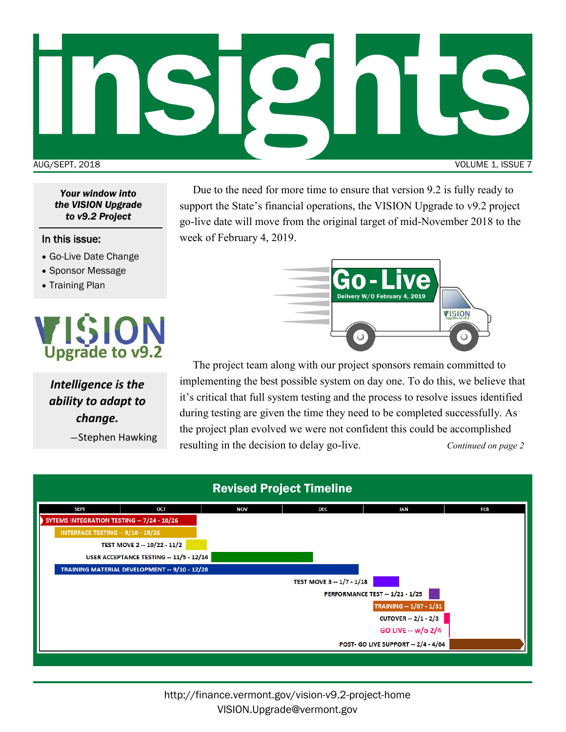

*Your window into the VISION Upgrade to v9.2 Project*

#### In this issue:

- Go-Live Date Change
- Sponsor Message
- Training Plan



*Intelligence is the ability to adapt to change.* 

—Stephen Hawking

Due to the need for more time to ensure that version 9.2 is fully ready to support the State's financial operations, the VISION Upgrade to v9.2 project go-live date will move from the original target of mid-November 2018 to the week of February 4, 2019.



The project team along with our project sponsors remain committed to implementing the best possible system on day one. To do this, we believe that it's critical that full system testing and the process to resolve issues identified during testing are given the time they need to be completed successfully. As the project plan evolved we were not confident this could be accomplished resulting in the decision to delay go-live. *Continued on page 2*

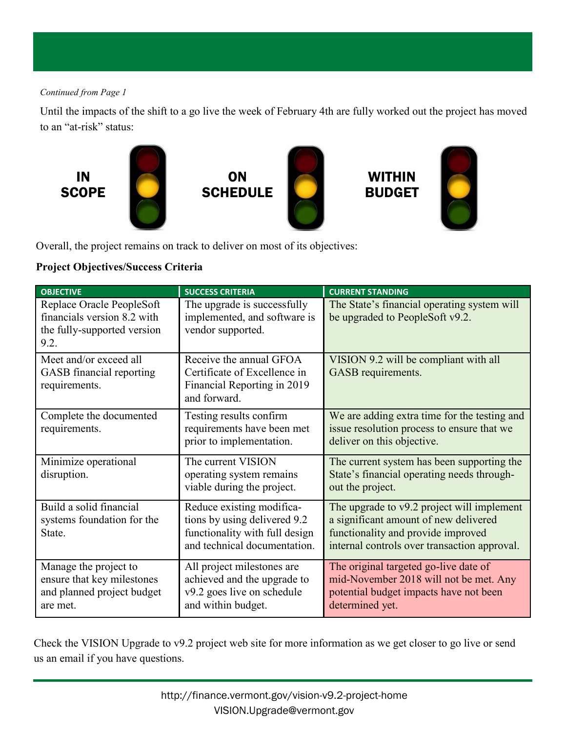## *Continued from Page 1*

Until the impacts of the shift to a go live the week of February 4th are fully worked out the project has moved to an "at-risk" status:



Overall, the project remains on track to deliver on most of its objectives:

# **Project Objectives/Success Criteria**

| <b>OBJECTIVE</b>                                                                                | <b>SUCCESS CRITERIA</b>                                                                                                     | <b>CURRENT STANDING</b>                                                                                                                                                   |
|-------------------------------------------------------------------------------------------------|-----------------------------------------------------------------------------------------------------------------------------|---------------------------------------------------------------------------------------------------------------------------------------------------------------------------|
| Replace Oracle PeopleSoft<br>financials version 8.2 with<br>the fully-supported version<br>9.2. | The upgrade is successfully<br>implemented, and software is<br>vendor supported.                                            | The State's financial operating system will<br>be upgraded to PeopleSoft v9.2.                                                                                            |
| Meet and/or exceed all<br>GASB financial reporting<br>requirements.                             | Receive the annual GFOA<br>Certificate of Excellence in<br>Financial Reporting in 2019<br>and forward.                      | VISION 9.2 will be compliant with all<br>GASB requirements.                                                                                                               |
| Complete the documented<br>requirements.                                                        | Testing results confirm<br>requirements have been met<br>prior to implementation.                                           | We are adding extra time for the testing and<br>issue resolution process to ensure that we<br>deliver on this objective.                                                  |
| Minimize operational<br>disruption.                                                             | The current VISION<br>operating system remains<br>viable during the project.                                                | The current system has been supporting the<br>State's financial operating needs through-<br>out the project.                                                              |
| Build a solid financial<br>systems foundation for the<br>State.                                 | Reduce existing modifica-<br>tions by using delivered 9.2<br>functionality with full design<br>and technical documentation. | The upgrade to v9.2 project will implement<br>a significant amount of new delivered<br>functionality and provide improved<br>internal controls over transaction approval. |
| Manage the project to<br>ensure that key milestones<br>and planned project budget<br>are met.   | All project milestones are<br>achieved and the upgrade to<br>v9.2 goes live on schedule<br>and within budget.               | The original targeted go-live date of<br>mid-November 2018 will not be met. Any<br>potential budget impacts have not been<br>determined yet.                              |

Check the VISION Upgrade to v9.2 project web site for more information as we get closer to go live or send us an email if you have questions.